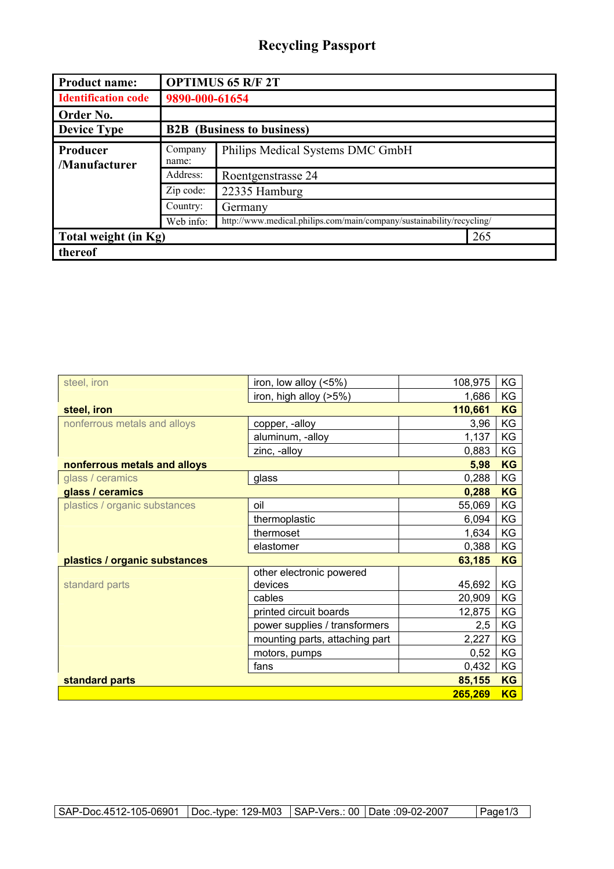## **Recycling Passport**

| <b>Product name:</b>       | <b>OPTIMUS 65 R/F 2T</b>          |                                                                       |  |
|----------------------------|-----------------------------------|-----------------------------------------------------------------------|--|
| <b>Identification code</b> | 9890-000-61654                    |                                                                       |  |
| Order No.                  |                                   |                                                                       |  |
| <b>Device Type</b>         | <b>B2B</b> (Business to business) |                                                                       |  |
| Producer<br>/Manufacturer  | Company<br>name:                  | Philips Medical Systems DMC GmbH                                      |  |
|                            | Address:                          | Roentgenstrasse 24                                                    |  |
|                            | Zip code:                         | 22335 Hamburg                                                         |  |
|                            | Country:                          | Germany                                                               |  |
|                            | Web info:                         | http://www.medical.philips.com/main/company/sustainability/recycling/ |  |
| Total weight (in Kg)       |                                   | 265                                                                   |  |
| thereof                    |                                   |                                                                       |  |

| steel, iron                   | iron, low alloy (<5%)          | 108,975 | KG        |
|-------------------------------|--------------------------------|---------|-----------|
|                               | iron, high alloy (>5%)         | 1,686   | KG        |
| steel, iron                   |                                | 110,661 | <b>KG</b> |
| nonferrous metals and alloys  | copper, -alloy                 | 3,96    | KG        |
|                               | aluminum, -alloy               | 1,137   | KG        |
|                               | zinc, -alloy                   | 0,883   | KG        |
| nonferrous metals and alloys  |                                | 5,98    | <b>KG</b> |
| glass / ceramics              | glass                          | 0,288   | KG        |
| glass / ceramics              |                                | 0,288   | <b>KG</b> |
| plastics / organic substances | oil                            | 55,069  | KG        |
|                               | thermoplastic                  | 6,094   | KG        |
|                               | thermoset                      | 1,634   | KG        |
|                               | elastomer                      | 0,388   | KG        |
| plastics / organic substances |                                | 63,185  | <b>KG</b> |
|                               | other electronic powered       |         |           |
| standard parts                | devices                        | 45,692  | KG        |
|                               | cables                         | 20,909  | KG        |
|                               | printed circuit boards         | 12,875  | KG        |
|                               | power supplies / transformers  | 2,5     | KG        |
|                               | mounting parts, attaching part | 2,227   | KG        |
|                               | motors, pumps                  | 0,52    | KG        |
|                               | fans                           | 0,432   | KG        |
| standard parts                |                                | 85,155  | <b>KG</b> |
|                               |                                | 265,269 | <b>KG</b> |

SAP-Doc.4512-105-06901 | Doc.-type: 129-M03 | SAP-Vers.: 00 | Date :09-02-2007 | Page1/3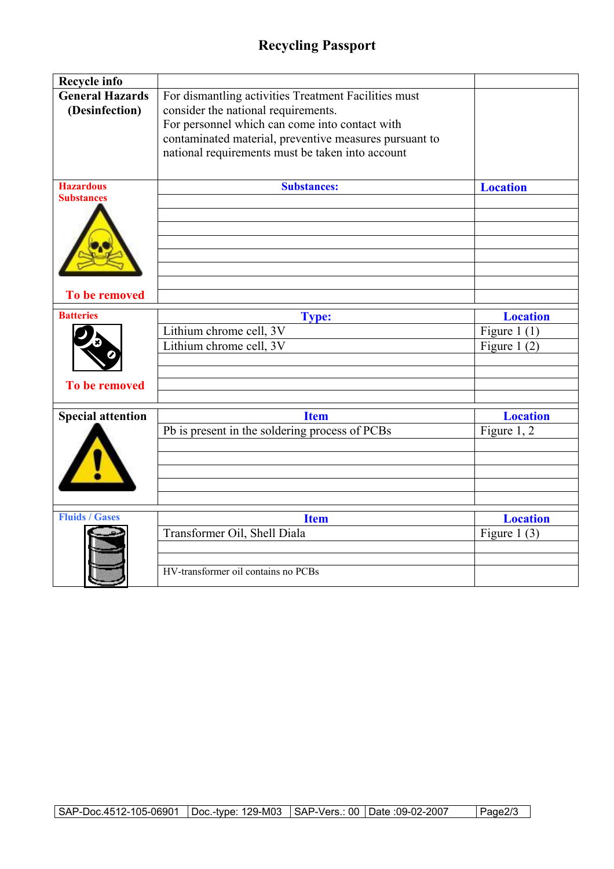## **Recycling Passport**

| <b>Recycle info</b>                      |                                                                                                                                                                                                                                                             |                                  |
|------------------------------------------|-------------------------------------------------------------------------------------------------------------------------------------------------------------------------------------------------------------------------------------------------------------|----------------------------------|
| <b>General Hazards</b><br>(Desinfection) | For dismantling activities Treatment Facilities must<br>consider the national requirements.<br>For personnel which can come into contact with<br>contaminated material, preventive measures pursuant to<br>national requirements must be taken into account |                                  |
| <b>Hazardous</b><br><b>Substances</b>    | <b>Substances:</b>                                                                                                                                                                                                                                          | <b>Location</b>                  |
| <b>To be removed</b>                     |                                                                                                                                                                                                                                                             |                                  |
|                                          |                                                                                                                                                                                                                                                             |                                  |
| <b>Batteries</b>                         | <b>Type:</b>                                                                                                                                                                                                                                                | <b>Location</b>                  |
|                                          | Lithium chrome cell, 3V<br>Lithium chrome cell, 3V                                                                                                                                                                                                          | Figure 1 $(1)$<br>Figure 1 $(2)$ |
| <b>To be removed</b>                     |                                                                                                                                                                                                                                                             |                                  |
| <b>Special attention</b>                 | <b>Item</b>                                                                                                                                                                                                                                                 | <b>Location</b>                  |
|                                          | Pb is present in the soldering process of PCBs                                                                                                                                                                                                              | Figure 1, 2                      |
|                                          |                                                                                                                                                                                                                                                             |                                  |
| <b>Fluids / Gases</b>                    | <b>Item</b>                                                                                                                                                                                                                                                 | <b>Location</b>                  |
|                                          | Transformer Oil, Shell Diala                                                                                                                                                                                                                                | Figure 1 $(3)$                   |
|                                          |                                                                                                                                                                                                                                                             |                                  |
|                                          |                                                                                                                                                                                                                                                             |                                  |
|                                          | HV-transformer oil contains no PCBs                                                                                                                                                                                                                         |                                  |